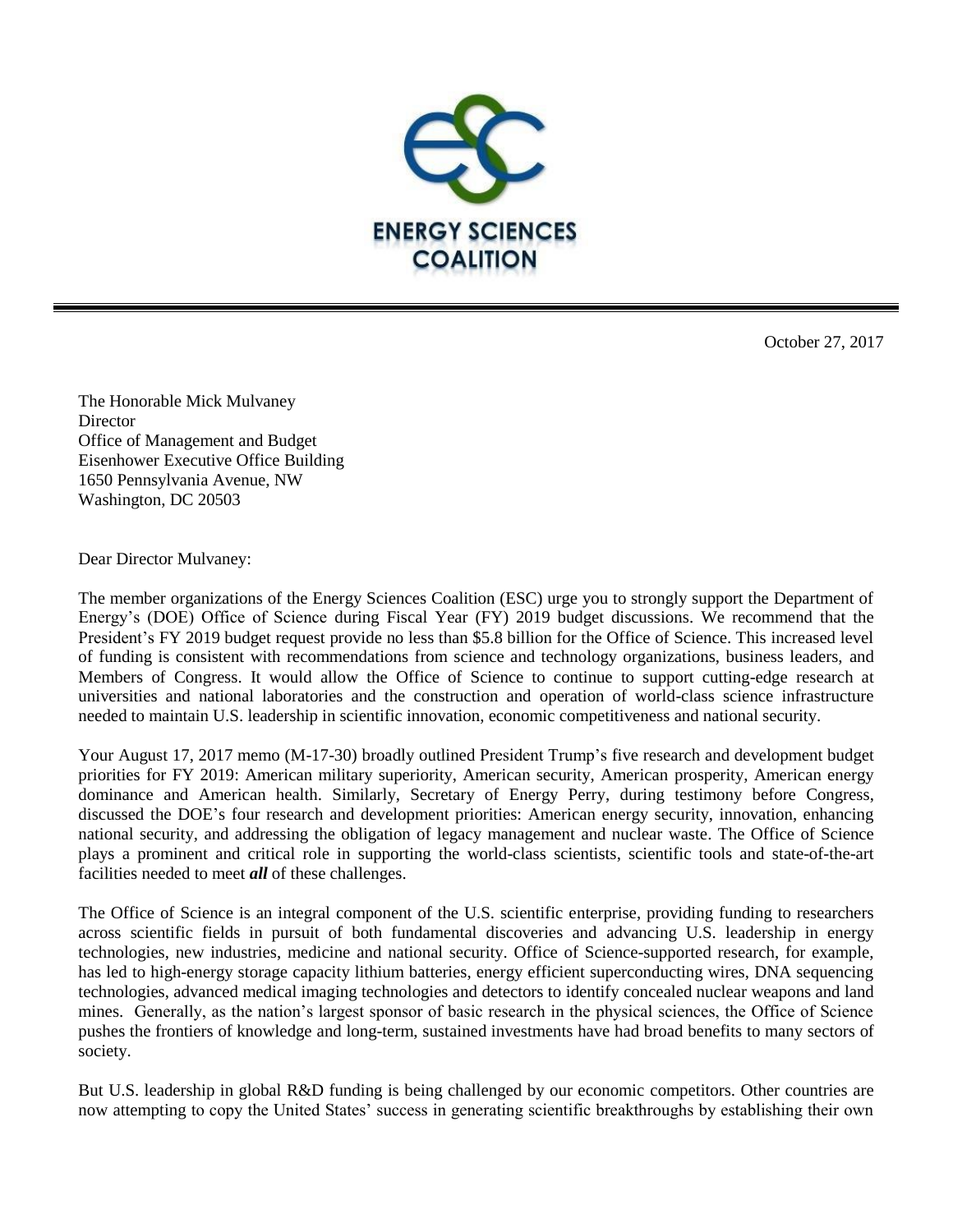

October 27, 2017

The Honorable Mick Mulvaney **Director** Office of Management and Budget Eisenhower Executive Office Building 1650 Pennsylvania Avenue, NW Washington, DC 20503

Dear Director Mulvaney:

The member organizations of the Energy Sciences Coalition (ESC) urge you to strongly support the Department of Energy's (DOE) Office of Science during Fiscal Year (FY) 2019 budget discussions. We recommend that the President's FY 2019 budget request provide no less than \$5.8 billion for the Office of Science. This increased level of funding is consistent with recommendations from science and technology organizations, business leaders, and Members of Congress. It would allow the Office of Science to continue to support cutting-edge research at universities and national laboratories and the construction and operation of world-class science infrastructure needed to maintain U.S. leadership in scientific innovation, economic competitiveness and national security.

Your August 17, 2017 memo (M-17-30) broadly outlined President Trump's five research and development budget priorities for FY 2019: American military superiority, American security, American prosperity, American energy dominance and American health. Similarly, Secretary of Energy Perry, during testimony before Congress, discussed the DOE's four research and development priorities: American energy security, innovation, enhancing national security, and addressing the obligation of legacy management and nuclear waste. The Office of Science plays a prominent and critical role in supporting the world-class scientists, scientific tools and state-of-the-art facilities needed to meet *all* of these challenges.

The Office of Science is an integral component of the U.S. scientific enterprise, providing funding to researchers across scientific fields in pursuit of both fundamental discoveries and advancing U.S. leadership in energy technologies, new industries, medicine and national security. Office of Science-supported research, for example, has led to high-energy storage capacity lithium batteries, energy efficient superconducting wires, DNA sequencing technologies, advanced medical imaging technologies and detectors to identify concealed nuclear weapons and land mines. Generally, as the nation's largest sponsor of basic research in the physical sciences, the Office of Science pushes the frontiers of knowledge and long-term, sustained investments have had broad benefits to many sectors of society.

But U.S. leadership in global R&D funding is being challenged by our economic competitors. Other countries are now attempting to copy the United States' success in generating scientific breakthroughs by establishing their own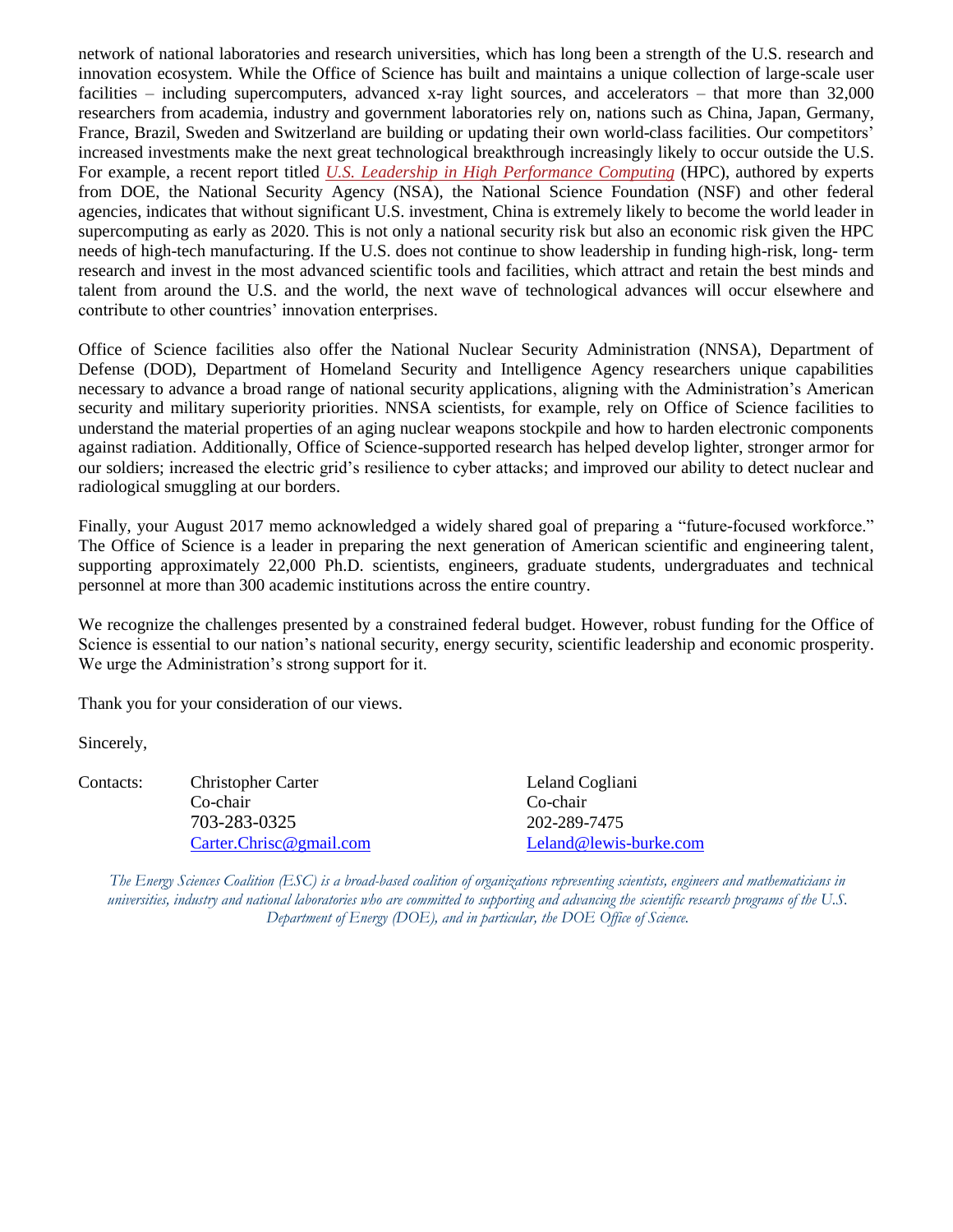network of national laboratories and research universities, which has long been a strength of the U.S. research and innovation ecosystem. While the Office of Science has built and maintains a unique collection of large-scale user facilities – including supercomputers, advanced x-ray light sources, and accelerators – that more than 32,000 researchers from academia, industry and government laboratories rely on, nations such as China, Japan, Germany, France, Brazil, Sweden and Switzerland are building or updating their own world-class facilities. Our competitors' increased investments make the next great technological breakthrough increasingly likely to occur outside the U.S. For example, a recent report titled *[U.S. Leadership in High Performance Computing](https://www.nitrd.gov/nitrdgroups/images/b/b4/NSA_DOE_HPC_TechMeetingReport.pdf)* (HPC), authored by experts from DOE, the National Security Agency (NSA), the National Science Foundation (NSF) and other federal agencies, indicates that without significant U.S. investment, China is extremely likely to become the world leader in supercomputing as early as 2020. This is not only a national security risk but also an economic risk given the HPC needs of high-tech manufacturing. If the U.S. does not continue to show leadership in funding high-risk, long- term research and invest in the most advanced scientific tools and facilities, which attract and retain the best minds and talent from around the U.S. and the world, the next wave of technological advances will occur elsewhere and contribute to other countries' innovation enterprises.

Office of Science facilities also offer the National Nuclear Security Administration (NNSA), Department of Defense (DOD), Department of Homeland Security and Intelligence Agency researchers unique capabilities necessary to advance a broad range of national security applications, aligning with the Administration's American security and military superiority priorities. NNSA scientists, for example, rely on Office of Science facilities to understand the material properties of an aging nuclear weapons stockpile and how to harden electronic components against radiation. Additionally, Office of Science-supported research has helped develop lighter, stronger armor for our soldiers; increased the electric grid's resilience to cyber attacks; and improved our ability to detect nuclear and radiological smuggling at our borders.

Finally, your August 2017 memo acknowledged a widely shared goal of preparing a "future-focused workforce." The Office of Science is a leader in preparing the next generation of American scientific and engineering talent, supporting approximately 22,000 Ph.D. scientists, engineers, graduate students, undergraduates and technical personnel at more than 300 academic institutions across the entire country.

We recognize the challenges presented by a constrained federal budget. However, robust funding for the Office of Science is essential to our nation's national security, energy security, scientific leadership and economic prosperity. We urge the Administration's strong support for it.

Thank you for your consideration of our views.

Sincerely,

Contacts: Christopher Carter Leland Cogliani Co-chair Co-chair 703-283-0325 202-289-7475

[Carter.Chrisc@gmail.com](file:///C:/Users/lcogliani/AppData/Local/Microsoft/Windows/Temporary%20Internet%20Files/Content.Outlook/GSICP3AY/Carter.Chrisc@gmail.com) [Leland@lewis-burke.com](mailto:Leland@lewis-burke.com)

*The Energy Sciences Coalition (ESC) is a broad-based coalition of organizations representing scientists, engineers and mathematicians in universities, industry and national laboratories who are committed to supporting and advancing the scientific research programs of the U.S. Department of Energy (DOE), and in particular, the DOE Office of Science.*